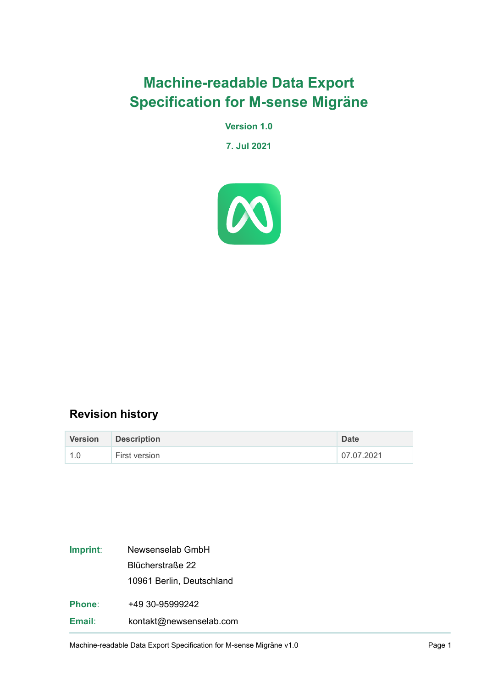# **Machine-readable Data Export Specification for M-sense Migräne**

**Version 1.0**

**7. Jul 2021**



### **Revision history**

| <b>Version</b> | <b>Description</b> | <b>Date</b> |
|----------------|--------------------|-------------|
| 1.0            | First version      | 07.07.2021  |

| Imprint:      | Newsenselab GmbH          |  |  |
|---------------|---------------------------|--|--|
|               | Blücherstraße 22          |  |  |
|               | 10961 Berlin, Deutschland |  |  |
| <b>Phone:</b> | +49 30-95999242           |  |  |
| Email:        | kontakt@newsenselab.com   |  |  |

Machine-readable Data Export Specification for M-sense Migräne v1.0 expansion of the Sample 1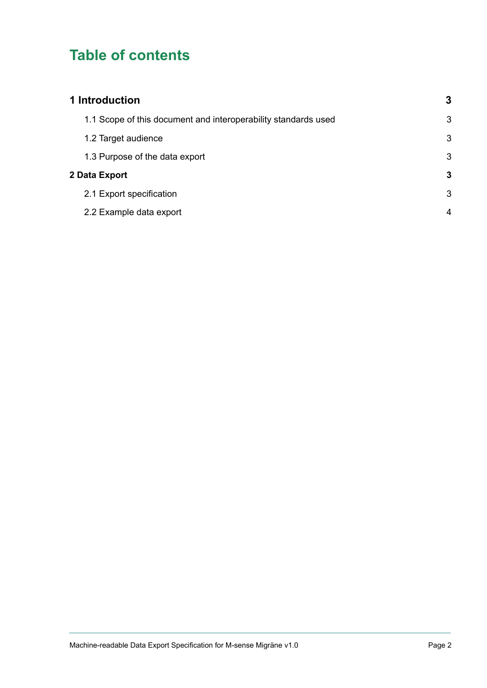# **Table of contents**

| 1 Introduction                                                 |   |
|----------------------------------------------------------------|---|
| 1.1 Scope of this document and interoperability standards used | 3 |
| 1.2 Target audience                                            | 3 |
| 1.3 Purpose of the data export                                 | 3 |
| 2 Data Export                                                  |   |
| 2.1 Export specification                                       | 3 |
| 2.2 Example data export                                        | 4 |
|                                                                |   |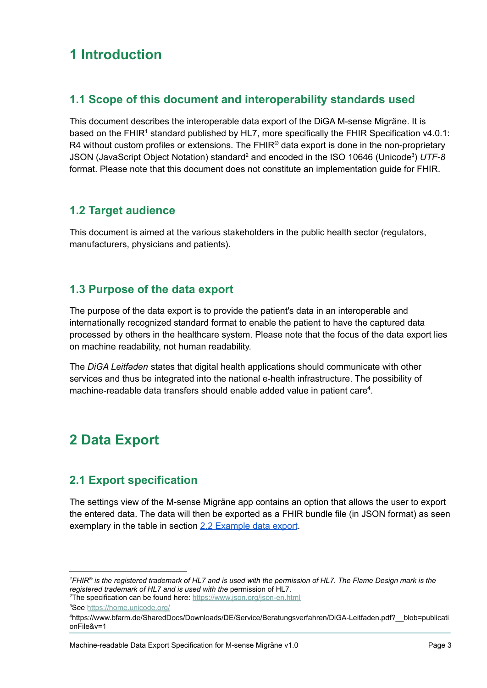## <span id="page-2-0"></span>**1 Introduction**

#### <span id="page-2-1"></span>**1.1 Scope of this document and interoperability standards used**

This document describes the interoperable data export of the DiGA M-sense Migräne. It is based on the FHIR<sup>1</sup> standard published by HL7, more specifically the FHIR Specification v4.0.1: R4 without custom profiles or extensions. The  $FHIR^{\circ}$  data export is done in the non-proprietary JSON (JavaScript Object Notation) standard <sup>2</sup> and encoded in the ISO 10646 (Unicode 3 ) *UTF-8* format. Please note that this document does not constitute an implementation guide for FHIR.

#### <span id="page-2-2"></span>**1.2 Target audience**

This document is aimed at the various stakeholders in the public health sector (regulators, manufacturers, physicians and patients).

#### <span id="page-2-3"></span>**1.3 Purpose of the data export**

The purpose of the data export is to provide the patient's data in an interoperable and internationally recognized standard format to enable the patient to have the captured data processed by others in the healthcare system. Please note that the focus of the data export lies on machine readability, not human readability.

The *DiGA Leitfaden* states that digital health applications should communicate with other services and thus be integrated into the national e-health infrastructure. The possibility of machine-readable data transfers should enable added value in patient care<sup>4</sup>.

## <span id="page-2-4"></span>**2 Data Export**

#### <span id="page-2-5"></span>**2.1 Export specification**

The settings view of the M-sense Migräne app contains an option that allows the user to export the entered data. The data will then be exported as a FHIR bundle file (in JSON format) as seen exemplary in the table in section 2.2 [Example](#page-3-0) data export.

*<sup>1</sup>FHIR® is the registered trademark of HL7 and is used with the permission of HL7. The Flame Design mark is the registered trademark of HL7 and is used with the* permission of HL7.

<sup>&</sup>lt;sup>2</sup>The specification can be found here: <https://www.json.org/json-en.html>

<sup>&</sup>lt;sup>3</sup>See <https://home.unicode.org/>

<sup>4</sup>https://www.bfarm.de/SharedDocs/Downloads/DE/Service/Beratungsverfahren/DiGA-Leitfaden.pdf?\_\_blob=publicati onFile&v=1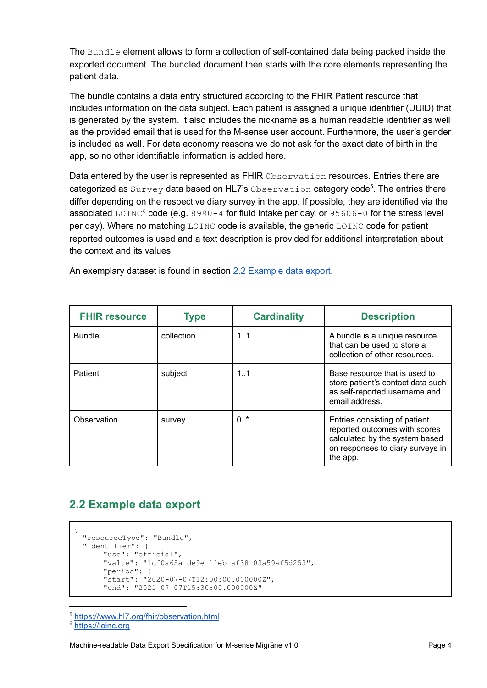The Bundle element allows to form a collection of self-contained data being packed inside the exported document. The bundled document then starts with the core elements representing the patient data.

The bundle contains a data entry structured according to the FHIR Patient resource that includes information on the data subject. Each patient is assigned a unique identifier (UUID) that is generated by the system. It also includes the nickname as a human readable identifier as well as the provided email that is used for the M-sense user account. Furthermore, the user's gender is included as well. For data economy reasons we do not ask for the exact date of birth in the app, so no other identifiable information is added here.

Data entered by the user is represented as FHIR Observation resources. Entries there are categorized as Survey data based on HL7's Observation category code<sup>5</sup>. The entries there differ depending on the respective diary survey in the app. If possible, they are identified via the associated LOINC<sup>6</sup> code (e.g. 8990-4 for fluid intake per day, or 95606-0 for the stress level per day). Where no matching LOINC code is available, the generic LOINC code for patient reported outcomes is used and a text description is provided for additional interpretation about the context and its values.

An exemplary dataset is found in section 2.2 [Example](#page-3-0) data export.

| <b>FHIR resource</b> | <b>Type</b> | <b>Cardinality</b> | <b>Description</b>                                                                                                                               |
|----------------------|-------------|--------------------|--------------------------------------------------------------------------------------------------------------------------------------------------|
| <b>Bundle</b>        | collection  | 1.1                | A bundle is a unique resource<br>that can be used to store a<br>collection of other resources.                                                   |
| Patient              | subject     | 1.1                | Base resource that is used to<br>store patient's contact data such<br>as self-reported username and<br>email address.                            |
| Observation          | survey      | 0.7                | Entries consisting of patient<br>reported outcomes with scores<br>calculated by the system based<br>on responses to diary surveys in<br>the app. |

### <span id="page-3-0"></span>**2.2 Example data export**

```
{
 "resourceType": "Bundle",
 "identifier": {
      "use": "official",
      "value": "1cf0a65a-de9e-11eb-af38-03a59af5d253",
      "period": {
      "start": "2020-07-07T12:00:00.000000Z",
      "end": "2021-07-07T15:30:00.000000Z"
```
<sup>5</sup> <https://www.hl7.org/fhir/observation.html>

```
https://loinc.org
```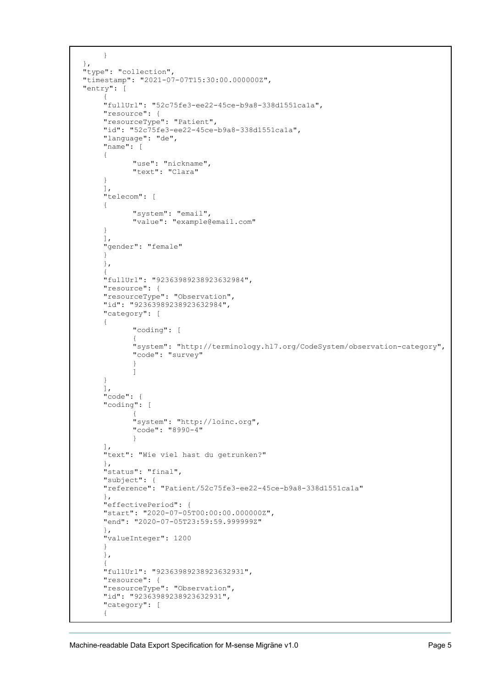```
}
},
"type": "collection",
"timestamp": "2021-07-07T15:30:00.000000Z",
"entry": [
     {
     "fullUrl": "52c75fe3-ee22-45ce-b9a8-338d1551ca1a",
     "resource": {
    "resourceType": "Patient",
    "id": "52c75fe3-ee22-45ce-b9a8-338d1551ca1a",
    "language": "de",
     "name": [
     {
            "use": "nickname",
           "text": "Clara"
     }
    \frac{1}{2},
     "telecom": [
     {
            "system": "email",
           "value": "example@email.com"
     }
     ],
     "gender": "female"
     }
    },
     {
    "fullUrl": "92363989238923632984",
    "resource": {
    "resourceType": "Observation",
    "id": "92363989238923632984",
     "category": [
     {
            "coding": [
            {
            "system": "http://terminology.hl7.org/CodeSystem/observation-category",
           "code": "survey"
            }
            ]
     }
     ],
    "code": {
    "coding": [
            {
            "system": "http://loinc.org",
            "code": "8990-4"
            }
     \frac{1}{2},
     "text": "Wie viel hast du getrunken?"
     },
    "status": "final",
    "subject": {
    "reference": "Patient/52c75fe3-ee22-45ce-b9a8-338d1551ca1a"
    },
    "effectivePeriod": {
     "start": "2020-07-05T00:00:00.000000Z",
    "end": "2020-07-05T23:59:59.999999Z"
     },
    "valueInteger": 1200
     }
     },
     {
     "fullUrl": "92363989238923632931",
    "resource": {
    "resourceType": "Observation",
     "id": "92363989238923632931",
     "category": [
     {
```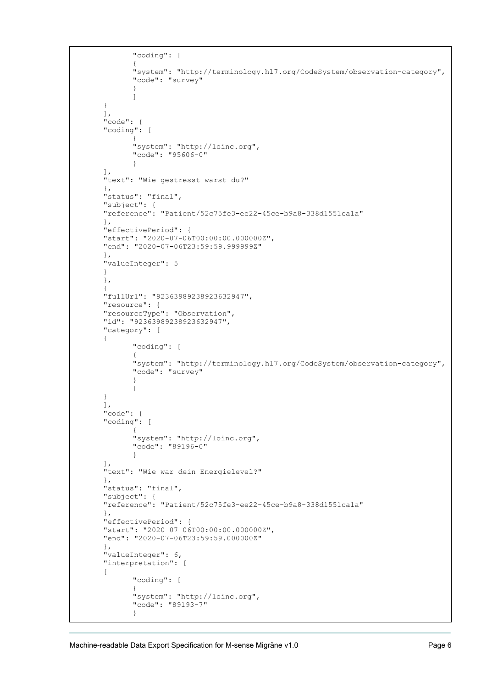```
"coding": [
       {
       "system": "http://terminology.hl7.org/CodeSystem/observation-category",
       "code": "survey"
       }
       ]
}
],
"code": {
"coding": [
       {
       "system": "http://loinc.org",
       "code": "95606-0"
       }
],
"text": "Wie gestresst warst du?"
},
"status": "final",
"subject": {
"reference": "Patient/52c75fe3-ee22-45ce-b9a8-338d1551ca1a"
},
"effectivePeriod": {
"start": "2020-07-06T00:00:00.000000Z",
"end": "2020-07-06T23:59:59.999999Z"
},
"valueInteger": 5
}
},
{
"fullUrl": "92363989238923632947",
"resource": {
"resourceType": "Observation",
"id": "92363989238923632947",
"category": [
{
       "coding": [
       {
       "system": "http://terminology.hl7.org/CodeSystem/observation-category",
       "code": "survey"
       }
       ]
}
],
"code": {
"coding": [
       {
       "system": "http://loinc.org",
       "code": "89196-0"
       }
\frac{1}{2},
"text": "Wie war dein Energielevel?"
},
"status": "final",
"subject": {
"reference": "Patient/52c75fe3-ee22-45ce-b9a8-338d1551ca1a"
},
"effectivePeriod": {
"start": "2020-07-06T00:00:00.000000Z",
"end": "2020-07-06T23:59:59.000000Z"
},
"valueInteger": 6,
"interpretation": [
{
       "coding": [
       {
       "system": "http://loinc.org",
       "code": "89193-7"
       }
```